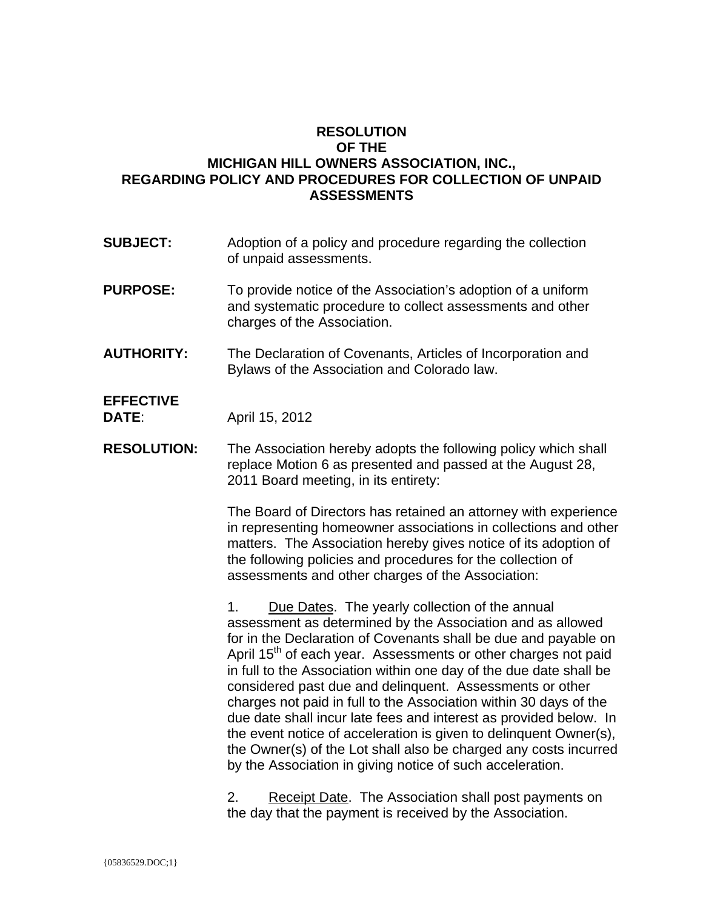### **RESOLUTION OF THE MICHIGAN HILL OWNERS ASSOCIATION, INC., REGARDING POLICY AND PROCEDURES FOR COLLECTION OF UNPAID ASSESSMENTS**

- **SUBJECT:** Adoption of a policy and procedure regarding the collection of unpaid assessments.
- **PURPOSE:** To provide notice of the Association's adoption of a uniform and systematic procedure to collect assessments and other charges of the Association.
- **AUTHORITY:** The Declaration of Covenants, Articles of Incorporation and Bylaws of the Association and Colorado law.

# **EFFECTIVE**

**DATE:** April 15, 2012

**RESOLUTION:** The Association hereby adopts the following policy which shall replace Motion 6 as presented and passed at the August 28, 2011 Board meeting, in its entirety:

> The Board of Directors has retained an attorney with experience in representing homeowner associations in collections and other matters. The Association hereby gives notice of its adoption of the following policies and procedures for the collection of assessments and other charges of the Association:

> 1. Due Dates. The yearly collection of the annual assessment as determined by the Association and as allowed for in the Declaration of Covenants shall be due and payable on April 15<sup>th</sup> of each year. Assessments or other charges not paid in full to the Association within one day of the due date shall be considered past due and delinquent. Assessments or other charges not paid in full to the Association within 30 days of the due date shall incur late fees and interest as provided below. In the event notice of acceleration is given to delinquent Owner(s), the Owner(s) of the Lot shall also be charged any costs incurred by the Association in giving notice of such acceleration.

2. Receipt Date. The Association shall post payments on the day that the payment is received by the Association.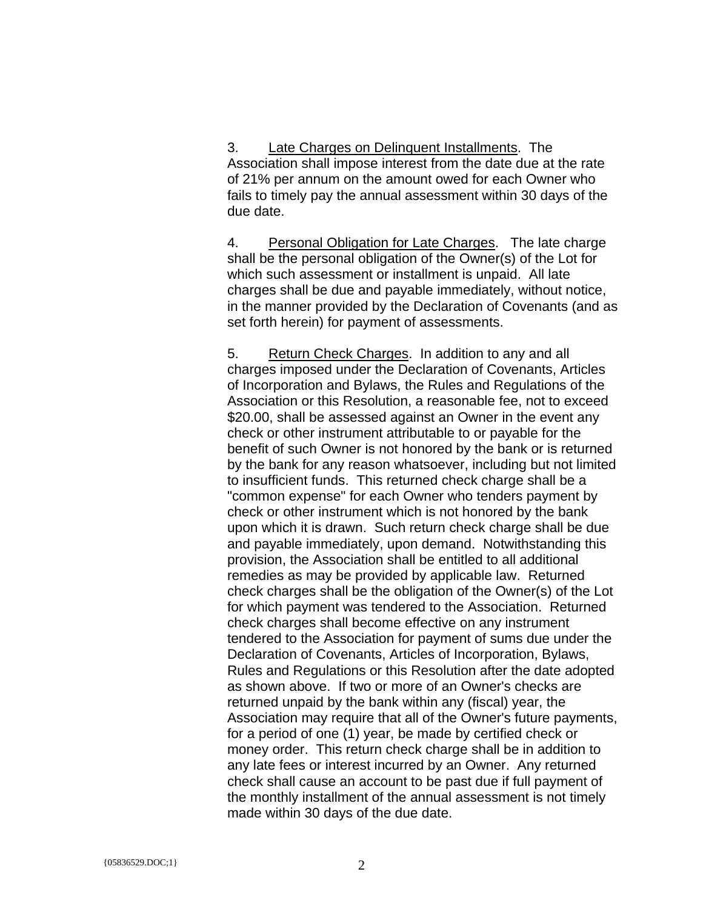3. Late Charges on Delinquent Installments. The Association shall impose interest from the date due at the rate of 21% per annum on the amount owed for each Owner who fails to timely pay the annual assessment within 30 days of the due date.

4. Personal Obligation for Late Charges. The late charge shall be the personal obligation of the Owner(s) of the Lot for which such assessment or installment is unpaid. All late charges shall be due and payable immediately, without notice, in the manner provided by the Declaration of Covenants (and as set forth herein) for payment of assessments.

5. Return Check Charges. In addition to any and all charges imposed under the Declaration of Covenants, Articles of Incorporation and Bylaws, the Rules and Regulations of the Association or this Resolution, a reasonable fee, not to exceed \$20.00, shall be assessed against an Owner in the event any check or other instrument attributable to or payable for the benefit of such Owner is not honored by the bank or is returned by the bank for any reason whatsoever, including but not limited to insufficient funds. This returned check charge shall be a "common expense" for each Owner who tenders payment by check or other instrument which is not honored by the bank upon which it is drawn. Such return check charge shall be due and payable immediately, upon demand. Notwithstanding this provision, the Association shall be entitled to all additional remedies as may be provided by applicable law. Returned check charges shall be the obligation of the Owner(s) of the Lot for which payment was tendered to the Association. Returned check charges shall become effective on any instrument tendered to the Association for payment of sums due under the Declaration of Covenants, Articles of Incorporation, Bylaws, Rules and Regulations or this Resolution after the date adopted as shown above. If two or more of an Owner's checks are returned unpaid by the bank within any (fiscal) year, the Association may require that all of the Owner's future payments, for a period of one (1) year, be made by certified check or money order. This return check charge shall be in addition to any late fees or interest incurred by an Owner. Any returned check shall cause an account to be past due if full payment of the monthly installment of the annual assessment is not timely made within 30 days of the due date.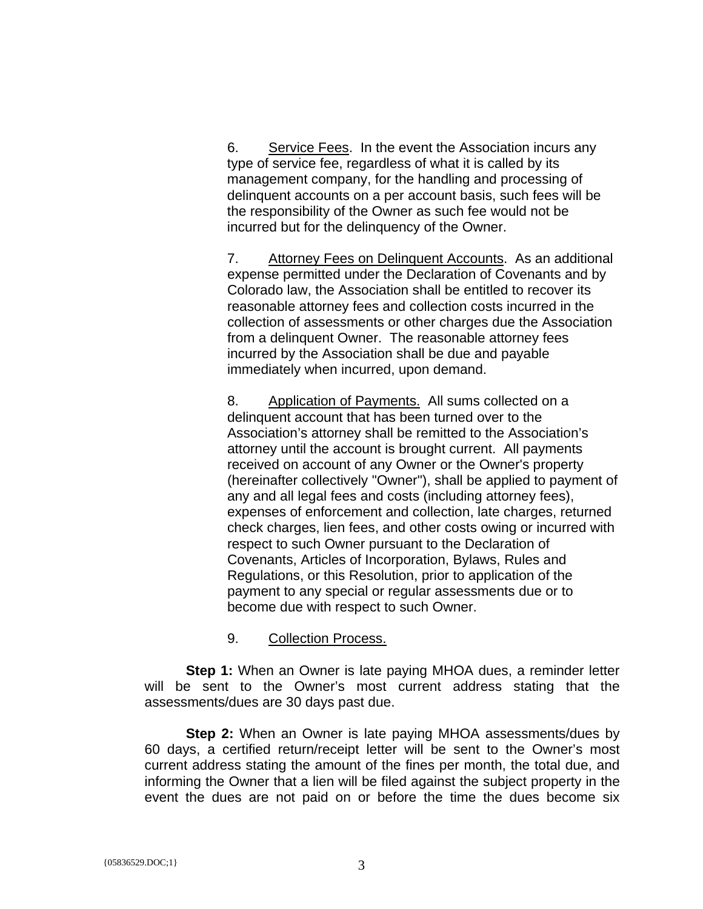6. Service Fees. In the event the Association incurs any type of service fee, regardless of what it is called by its management company, for the handling and processing of delinquent accounts on a per account basis, such fees will be the responsibility of the Owner as such fee would not be incurred but for the delinquency of the Owner.

7. Attorney Fees on Delinquent Accounts. As an additional expense permitted under the Declaration of Covenants and by Colorado law, the Association shall be entitled to recover its reasonable attorney fees and collection costs incurred in the collection of assessments or other charges due the Association from a delinquent Owner. The reasonable attorney fees incurred by the Association shall be due and payable immediately when incurred, upon demand.

8. Application of Payments. All sums collected on a delinquent account that has been turned over to the Association's attorney shall be remitted to the Association's attorney until the account is brought current. All payments received on account of any Owner or the Owner's property (hereinafter collectively "Owner"), shall be applied to payment of any and all legal fees and costs (including attorney fees), expenses of enforcement and collection, late charges, returned check charges, lien fees, and other costs owing or incurred with respect to such Owner pursuant to the Declaration of Covenants, Articles of Incorporation, Bylaws, Rules and Regulations, or this Resolution, prior to application of the payment to any special or regular assessments due or to become due with respect to such Owner.

#### 9. Collection Process.

**Step 1:** When an Owner is late paying MHOA dues, a reminder letter will be sent to the Owner's most current address stating that the assessments/dues are 30 days past due.

**Step 2:** When an Owner is late paying MHOA assessments/dues by 60 days, a certified return/receipt letter will be sent to the Owner's most current address stating the amount of the fines per month, the total due, and informing the Owner that a lien will be filed against the subject property in the event the dues are not paid on or before the time the dues become six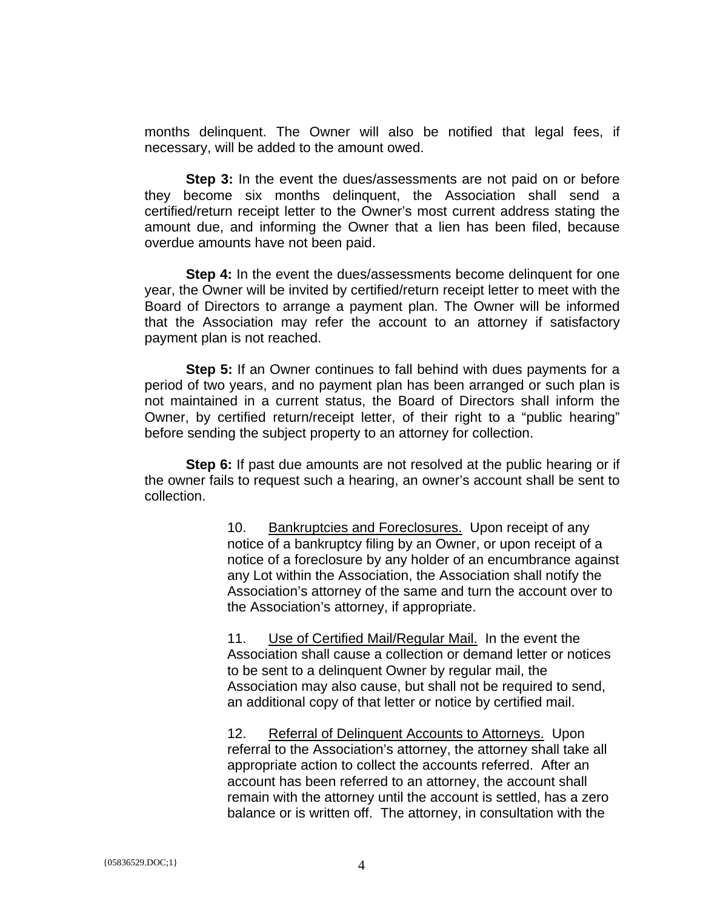months delinquent. The Owner will also be notified that legal fees, if necessary, will be added to the amount owed.

**Step 3:** In the event the dues/assessments are not paid on or before they become six months delinquent, the Association shall send a certified/return receipt letter to the Owner's most current address stating the amount due, and informing the Owner that a lien has been filed, because overdue amounts have not been paid.

**Step 4:** In the event the dues/assessments become delinguent for one year, the Owner will be invited by certified/return receipt letter to meet with the Board of Directors to arrange a payment plan. The Owner will be informed that the Association may refer the account to an attorney if satisfactory payment plan is not reached.

**Step 5:** If an Owner continues to fall behind with dues payments for a period of two years, and no payment plan has been arranged or such plan is not maintained in a current status, the Board of Directors shall inform the Owner, by certified return/receipt letter, of their right to a "public hearing" before sending the subject property to an attorney for collection.

**Step 6:** If past due amounts are not resolved at the public hearing or if the owner fails to request such a hearing, an owner's account shall be sent to collection.

> 10. Bankruptcies and Foreclosures. Upon receipt of any notice of a bankruptcy filing by an Owner, or upon receipt of a notice of a foreclosure by any holder of an encumbrance against any Lot within the Association, the Association shall notify the Association's attorney of the same and turn the account over to the Association's attorney, if appropriate.

11. Use of Certified Mail/Regular Mail. In the event the Association shall cause a collection or demand letter or notices to be sent to a delinquent Owner by regular mail, the Association may also cause, but shall not be required to send, an additional copy of that letter or notice by certified mail.

12. Referral of Delinquent Accounts to Attorneys. Upon referral to the Association's attorney, the attorney shall take all appropriate action to collect the accounts referred. After an account has been referred to an attorney, the account shall remain with the attorney until the account is settled, has a zero balance or is written off. The attorney, in consultation with the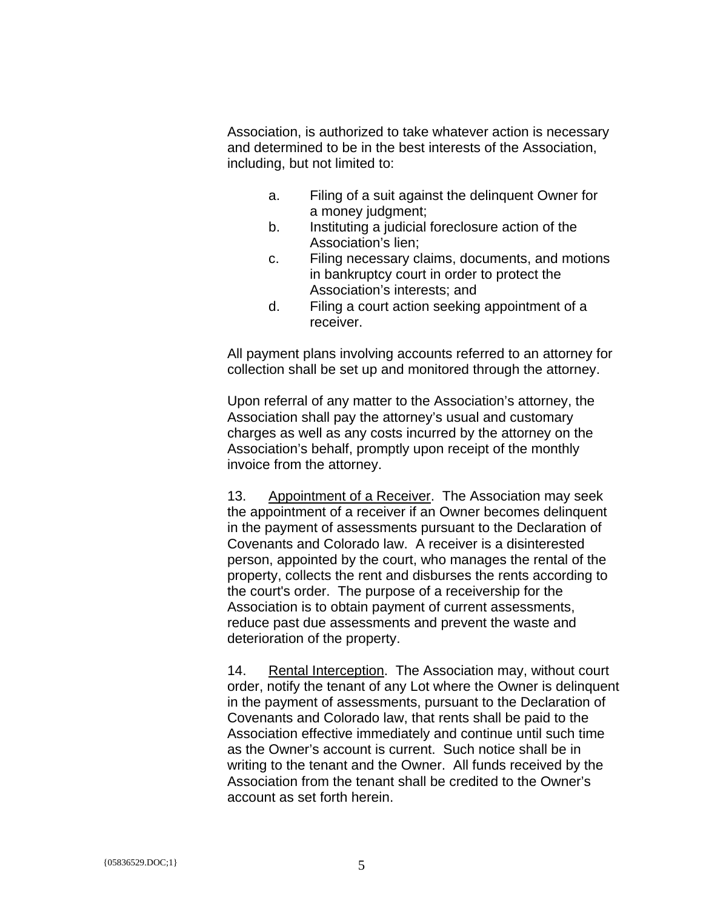Association, is authorized to take whatever action is necessary and determined to be in the best interests of the Association, including, but not limited to:

- a. Filing of a suit against the delinquent Owner for a money judgment;
- b. Instituting a judicial foreclosure action of the Association's lien;
- c. Filing necessary claims, documents, and motions in bankruptcy court in order to protect the Association's interests; and
- d. Filing a court action seeking appointment of a receiver.

All payment plans involving accounts referred to an attorney for collection shall be set up and monitored through the attorney.

Upon referral of any matter to the Association's attorney, the Association shall pay the attorney's usual and customary charges as well as any costs incurred by the attorney on the Association's behalf, promptly upon receipt of the monthly invoice from the attorney.

13. Appointment of a Receiver. The Association may seek the appointment of a receiver if an Owner becomes delinquent in the payment of assessments pursuant to the Declaration of Covenants and Colorado law. A receiver is a disinterested person, appointed by the court, who manages the rental of the property, collects the rent and disburses the rents according to the court's order. The purpose of a receivership for the Association is to obtain payment of current assessments, reduce past due assessments and prevent the waste and deterioration of the property.

14. Rental Interception. The Association may, without court order, notify the tenant of any Lot where the Owner is delinquent in the payment of assessments, pursuant to the Declaration of Covenants and Colorado law, that rents shall be paid to the Association effective immediately and continue until such time as the Owner's account is current. Such notice shall be in writing to the tenant and the Owner. All funds received by the Association from the tenant shall be credited to the Owner's account as set forth herein.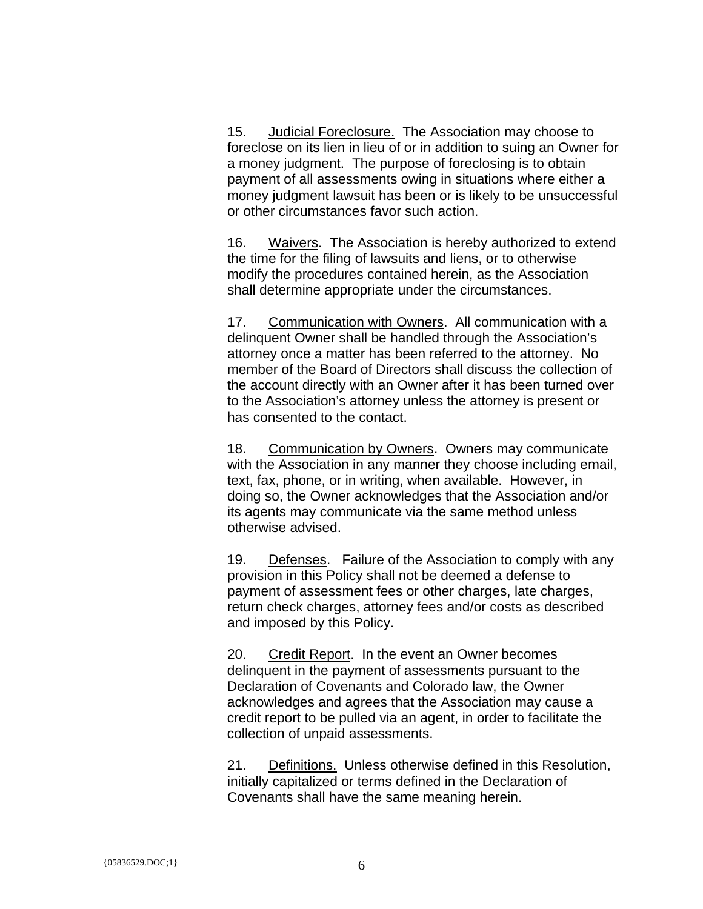15. Judicial Foreclosure. The Association may choose to foreclose on its lien in lieu of or in addition to suing an Owner for a money judgment. The purpose of foreclosing is to obtain payment of all assessments owing in situations where either a money judgment lawsuit has been or is likely to be unsuccessful or other circumstances favor such action.

16. Waivers. The Association is hereby authorized to extend the time for the filing of lawsuits and liens, or to otherwise modify the procedures contained herein, as the Association shall determine appropriate under the circumstances.

17. Communication with Owners. All communication with a delinquent Owner shall be handled through the Association's attorney once a matter has been referred to the attorney. No member of the Board of Directors shall discuss the collection of the account directly with an Owner after it has been turned over to the Association's attorney unless the attorney is present or has consented to the contact.

18. Communication by Owners. Owners may communicate with the Association in any manner they choose including email, text, fax, phone, or in writing, when available. However, in doing so, the Owner acknowledges that the Association and/or its agents may communicate via the same method unless otherwise advised.

19. Defenses. Failure of the Association to comply with any provision in this Policy shall not be deemed a defense to payment of assessment fees or other charges, late charges, return check charges, attorney fees and/or costs as described and imposed by this Policy.

20. Credit Report. In the event an Owner becomes delinquent in the payment of assessments pursuant to the Declaration of Covenants and Colorado law, the Owner acknowledges and agrees that the Association may cause a credit report to be pulled via an agent, in order to facilitate the collection of unpaid assessments.

21. Definitions. Unless otherwise defined in this Resolution, initially capitalized or terms defined in the Declaration of Covenants shall have the same meaning herein.